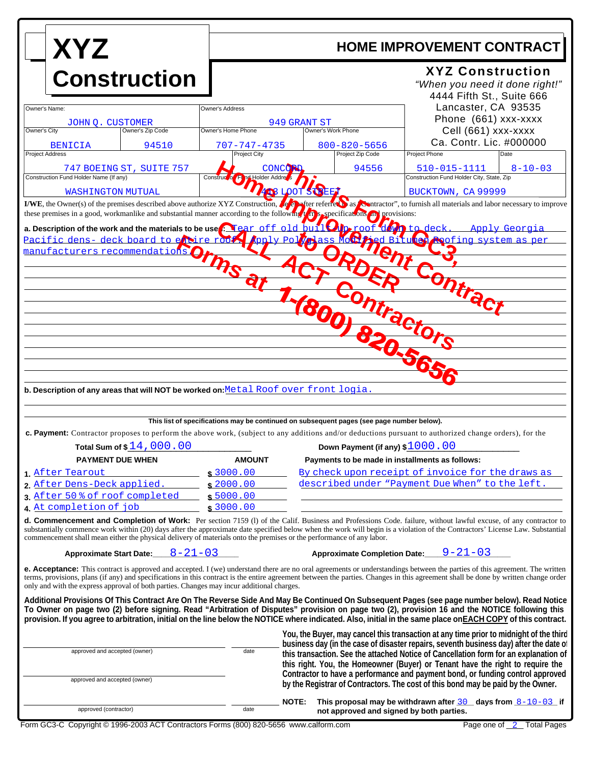| <b>XYZ</b>                                                                                                                                                                                                                                                                                                                                                                                                                                                             | <b>HOME IMPROVEMENT CONTRACT</b>      |                                                                                           |                                                                                                                                                                                |
|------------------------------------------------------------------------------------------------------------------------------------------------------------------------------------------------------------------------------------------------------------------------------------------------------------------------------------------------------------------------------------------------------------------------------------------------------------------------|---------------------------------------|-------------------------------------------------------------------------------------------|--------------------------------------------------------------------------------------------------------------------------------------------------------------------------------|
| <b>Construction</b>                                                                                                                                                                                                                                                                                                                                                                                                                                                    |                                       |                                                                                           | <b>XYZ Construction</b><br>"When you need it done right!"<br>4444 Fifth St., Suite 666                                                                                         |
| Owner's Name:                                                                                                                                                                                                                                                                                                                                                                                                                                                          | Owner's Address                       |                                                                                           | Lancaster, CA 93535                                                                                                                                                            |
| <b>JOHN O. CUSTOMER</b><br>Owner's City<br>Owner's Zip Code                                                                                                                                                                                                                                                                                                                                                                                                            | Owner's Home Phone                    | 949 GRANT ST<br>Owner's Work Phone                                                        | Phone (661) xxx-xxxx<br>Cell (661) xxx-xxxx                                                                                                                                    |
| 94510<br><b>BENICIA</b>                                                                                                                                                                                                                                                                                                                                                                                                                                                | $707 - 747 - 4735$                    | $800 - 820 - 5656$                                                                        | Ca. Contr. Lic. #000000                                                                                                                                                        |
| <b>Project Address</b>                                                                                                                                                                                                                                                                                                                                                                                                                                                 | Project City                          | Project Zip Code                                                                          | Project Phone<br>Date                                                                                                                                                          |
| 747 BOEING ST, SUITE 757<br>Construction Fund Holder Name (If any)                                                                                                                                                                                                                                                                                                                                                                                                     | CONCO<br>nd Holder Addre<br>Construct | 94556                                                                                     | 510-015-1111<br>$8 - 10 - 03$<br>Construction Fund Holder City, State, Zip                                                                                                     |
| <b>WASHINGTON MUTUAL</b>                                                                                                                                                                                                                                                                                                                                                                                                                                               |                                       | <b>408 LOOTS</b>                                                                          | BUCKTOWN, CA 99999                                                                                                                                                             |
| I/WE, the Owner(s) of the premises described above authorize XYZ Construction, the energy as contractor", to furnish all materials and labor necessary to improve<br>these premises in a good, workmanlike and substantial manner according to the following the sepecifications and provisions:                                                                                                                                                                       |                                       |                                                                                           |                                                                                                                                                                                |
| a. Description of the work and the materials to be use <b>Pream of f</b> old buil <b>Operoof does</b> to deck. Apply Georgia                                                                                                                                                                                                                                                                                                                                           |                                       |                                                                                           |                                                                                                                                                                                |
|                                                                                                                                                                                                                                                                                                                                                                                                                                                                        |                                       |                                                                                           |                                                                                                                                                                                |
| a. Description densing deck board by the manufacturers recommendations                                                                                                                                                                                                                                                                                                                                                                                                 |                                       |                                                                                           | The Poly Poly Bass McChad BituG Cofing system as per                                                                                                                           |
|                                                                                                                                                                                                                                                                                                                                                                                                                                                                        |                                       |                                                                                           |                                                                                                                                                                                |
|                                                                                                                                                                                                                                                                                                                                                                                                                                                                        |                                       |                                                                                           | Ontra                                                                                                                                                                          |
|                                                                                                                                                                                                                                                                                                                                                                                                                                                                        |                                       |                                                                                           | Itractors                                                                                                                                                                      |
|                                                                                                                                                                                                                                                                                                                                                                                                                                                                        |                                       |                                                                                           |                                                                                                                                                                                |
|                                                                                                                                                                                                                                                                                                                                                                                                                                                                        |                                       |                                                                                           |                                                                                                                                                                                |
|                                                                                                                                                                                                                                                                                                                                                                                                                                                                        |                                       |                                                                                           |                                                                                                                                                                                |
|                                                                                                                                                                                                                                                                                                                                                                                                                                                                        |                                       |                                                                                           |                                                                                                                                                                                |
| b. Description of any areas that will NOT be worked on: Metal Roof over front logia.                                                                                                                                                                                                                                                                                                                                                                                   |                                       |                                                                                           |                                                                                                                                                                                |
|                                                                                                                                                                                                                                                                                                                                                                                                                                                                        |                                       |                                                                                           |                                                                                                                                                                                |
|                                                                                                                                                                                                                                                                                                                                                                                                                                                                        |                                       | This list of specifications may be continued on subsequent pages (see page number below). |                                                                                                                                                                                |
| c. Payment: Contractor proposes to perform the above work, (subject to any additions and/or deductions pursuant to authorized change orders), for the                                                                                                                                                                                                                                                                                                                  |                                       |                                                                                           |                                                                                                                                                                                |
| Total Sum of \$14,000.00                                                                                                                                                                                                                                                                                                                                                                                                                                               |                                       | Down Payment (if any) \$1000.00                                                           |                                                                                                                                                                                |
| <b>PAYMENT DUE WHEN</b><br>1. After Tearout                                                                                                                                                                                                                                                                                                                                                                                                                            | <b>AMOUNT</b><br>\$3000.00            | Payments to be made in installments as follows:                                           | By check upon receipt of invoice for the draws as                                                                                                                              |
| 2. After Dens-Deck applied.                                                                                                                                                                                                                                                                                                                                                                                                                                            | \$2000.00                             |                                                                                           | described under "Payment Due When" to the left.                                                                                                                                |
| 3. After 50 % of roof completed                                                                                                                                                                                                                                                                                                                                                                                                                                        | \$5000.00                             |                                                                                           |                                                                                                                                                                                |
| 4. At completion of job                                                                                                                                                                                                                                                                                                                                                                                                                                                | \$3000.00                             |                                                                                           |                                                                                                                                                                                |
| d. Commencement and Completion of Work: Per section 7159 (1) of the Calif. Business and Professions Code. failure, without lawful excuse, of any contractor to<br>substantially commence work within (20) days after the approximate date specified below when the work will begin is a violation of the Contractors' License Law. Substantial<br>commencement shall mean either the physical delivery of materials onto the premises or the performance of any labor. |                                       |                                                                                           |                                                                                                                                                                                |
| $8 - 21 - 03$<br><b>Approximate Start Date:</b>                                                                                                                                                                                                                                                                                                                                                                                                                        |                                       | <b>Approximate Completion Date:</b>                                                       | $9 - 21 - 03$                                                                                                                                                                  |
| <b>e. Acceptance:</b> This contract is approved and accepted. I (we) understand there are no oral agreements or understandings between the parties of this agreement. The written<br>terms, provisions, plans (if any) and specifications in this contract is the entire agreement between the parties. Changes in this agreement shall be done by written change order<br>only and with the express approval of both parties. Changes may incur additional charges.   |                                       |                                                                                           |                                                                                                                                                                                |
| Additional Provisions Of This Contract Are On The Reverse Side And May Be Continued On Subsequent Pages (see page number below). Read Notice<br>To Owner on page two (2) before signing. Read "Arbitration of Disputes" provision on page two (2), provision 16 and the NOTICE following this<br>provision. If you agree to arbitration, initial on the line below the NOTICE where indicated. Also, initial in the same place on EACH COPY of this contract.          |                                       |                                                                                           |                                                                                                                                                                                |
|                                                                                                                                                                                                                                                                                                                                                                                                                                                                        |                                       |                                                                                           | You, the Buyer, may cancel this transaction at any time prior to midnight of the third                                                                                         |
| approved and accepted (owner)                                                                                                                                                                                                                                                                                                                                                                                                                                          | date                                  |                                                                                           | business day (in the case of disaster repairs, seventh business day) after the date of<br>this transaction. See the attached Notice of Cancellation form for an explanation of |
|                                                                                                                                                                                                                                                                                                                                                                                                                                                                        |                                       |                                                                                           | this right. You, the Homeowner (Buyer) or Tenant have the right to require the<br>Contractor to have a performance and payment bond, or funding control approved               |
| approved and accepted (owner)                                                                                                                                                                                                                                                                                                                                                                                                                                          |                                       |                                                                                           | by the Registrar of Contractors. The cost of this bond may be paid by the Owner.                                                                                               |
|                                                                                                                                                                                                                                                                                                                                                                                                                                                                        |                                       | <b>NOTE:</b>                                                                              | This proposal may be withdrawn after $30$ days from $8-10-03$ if                                                                                                               |
| approved (contractor)                                                                                                                                                                                                                                                                                                                                                                                                                                                  | date                                  | not approved and signed by both parties.                                                  |                                                                                                                                                                                |